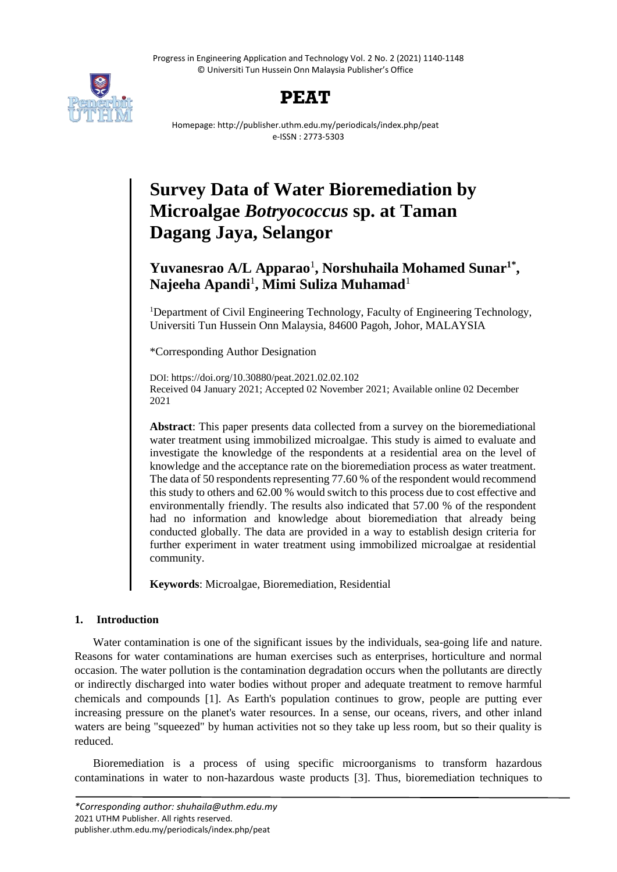Progress in Engineering Application and Technology Vol. 2 No. 2 (2021) 1140-1148 © Universiti Tun Hussein Onn Malaysia Publisher's Office





Homepage: http://publisher.uthm.edu.my/periodicals/index.php/peat e-ISSN : 2773-5303

# **Survey Data of Water Bioremediation by Microalgae** *Botryococcus* **sp. at Taman Dagang Jaya, Selangor**

# **Yuvanesrao A/L Apparao**<sup>1</sup> **, Norshuhaila Mohamed Sunar1\* , Najeeha Apandi**<sup>1</sup> **, Mimi Suliza Muhamad**<sup>1</sup>

<sup>1</sup>Department of Civil Engineering Technology, Faculty of Engineering Technology, Universiti Tun Hussein Onn Malaysia, 84600 Pagoh, Johor, MALAYSIA

\*Corresponding Author Designation

DOI: https://doi.org/10.30880/peat.2021.02.02.102 Received 04 January 2021; Accepted 02 November 2021; Available online 02 December 2021

**Abstract**: This paper presents data collected from a survey on the bioremediational water treatment using immobilized microalgae. This study is aimed to evaluate and investigate the knowledge of the respondents at a residential area on the level of knowledge and the acceptance rate on the bioremediation process as water treatment. The data of 50 respondents representing 77.60 % of the respondent would recommend this study to others and 62.00 % would switch to this process due to cost effective and environmentally friendly. The results also indicated that 57.00 % of the respondent had no information and knowledge about bioremediation that already being conducted globally. The data are provided in a way to establish design criteria for further experiment in water treatment using immobilized microalgae at residential community.

**Keywords**: Microalgae, Bioremediation, Residential

## **1. Introduction**

Water contamination is one of the significant issues by the individuals, sea-going life and nature. Reasons for water contaminations are human exercises such as enterprises, horticulture and normal occasion. The water pollution is the contamination degradation occurs when the pollutants are directly or indirectly discharged into water bodies without proper and adequate treatment to remove harmful chemicals and compounds [1]. As Earth's population continues to grow, people are putting ever increasing pressure on the planet's water resources. In a sense, our oceans, rivers, and other inland waters are being "squeezed" by human activities not so they take up less room, but so their quality is reduced.

Bioremediation is a process of using specific microorganisms to transform hazardous contaminations in water to non-hazardous waste products [3]. Thus, bioremediation techniques to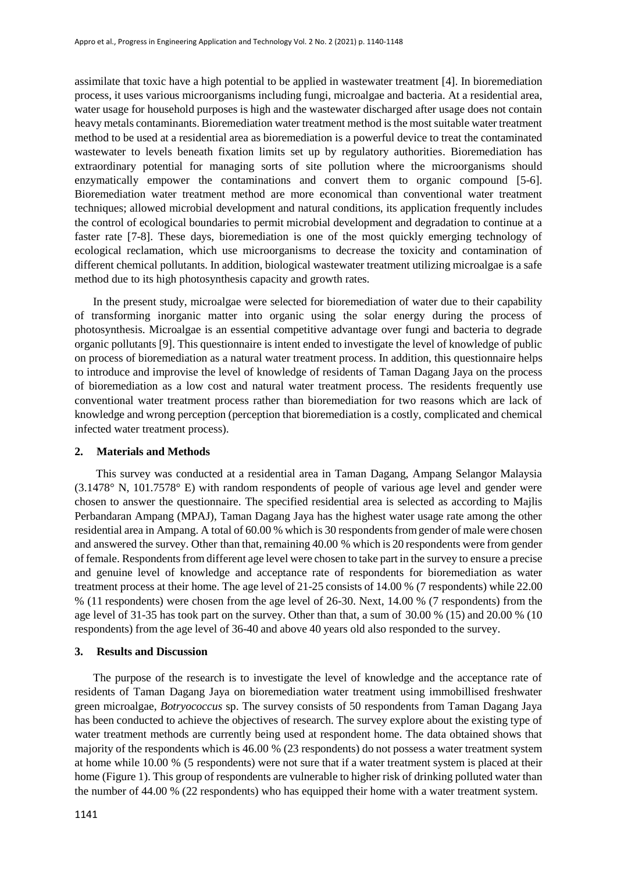assimilate that toxic have a high potential to be applied in wastewater treatment [4]. In bioremediation process, it uses various microorganisms including fungi, microalgae and bacteria. At a residential area, water usage for household purposes is high and the wastewater discharged after usage does not contain heavy metals contaminants. Bioremediation water treatment method is the most suitable water treatment method to be used at a residential area as bioremediation is a powerful device to treat the contaminated wastewater to levels beneath fixation limits set up by regulatory authorities. Bioremediation has extraordinary potential for managing sorts of site pollution where the microorganisms should enzymatically empower the contaminations and convert them to organic compound [5-6]. Bioremediation water treatment method are more economical than conventional water treatment techniques; allowed microbial development and natural conditions, its application frequently includes the control of ecological boundaries to permit microbial development and degradation to continue at a faster rate [7-8]. These days, bioremediation is one of the most quickly emerging technology of ecological reclamation, which use microorganisms to decrease the toxicity and contamination of different chemical pollutants. In addition, biological wastewater treatment utilizing microalgae is a safe method due to its high photosynthesis capacity and growth rates.

In the present study, microalgae were selected for bioremediation of water due to their capability of transforming inorganic matter into organic using the solar energy during the process of photosynthesis. Microalgae is an essential competitive advantage over fungi and bacteria to degrade organic pollutants [9]. This questionnaire is intent ended to investigate the level of knowledge of public on process of bioremediation as a natural water treatment process. In addition, this questionnaire helps to introduce and improvise the level of knowledge of residents of Taman Dagang Jaya on the process of bioremediation as a low cost and natural water treatment process. The residents frequently use conventional water treatment process rather than bioremediation for two reasons which are lack of knowledge and wrong perception (perception that bioremediation is a costly, complicated and chemical infected water treatment process).

#### **2. Materials and Methods**

This survey was conducted at a residential area in Taman Dagang, Ampang Selangor Malaysia (3.1478° N, 101.7578° E) with random respondents of people of various age level and gender were chosen to answer the questionnaire. The specified residential area is selected as according to Majlis Perbandaran Ampang (MPAJ), Taman Dagang Jaya has the highest water usage rate among the other residential area in Ampang. A total of 60.00 % which is 30 respondents from gender of male were chosen and answered the survey. Other than that, remaining 40.00 % which is 20 respondents were from gender of female. Respondents from different age level were chosen to take part in the survey to ensure a precise and genuine level of knowledge and acceptance rate of respondents for bioremediation as water treatment process at their home. The age level of 21-25 consists of 14.00 % (7 respondents) while 22.00 % (11 respondents) were chosen from the age level of 26-30. Next, 14.00 % (7 respondents) from the age level of 31-35 has took part on the survey. Other than that, a sum of 30.00 % (15) and 20.00 % (10 respondents) from the age level of 36-40 and above 40 years old also responded to the survey.

#### **3. Results and Discussion**

The purpose of the research is to investigate the level of knowledge and the acceptance rate of residents of Taman Dagang Jaya on bioremediation water treatment using immobillised freshwater green microalgae, *Botryococcus* sp. The survey consists of 50 respondents from Taman Dagang Jaya has been conducted to achieve the objectives of research. The survey explore about the existing type of water treatment methods are currently being used at respondent home. The data obtained shows that majority of the respondents which is 46.00 % (23 respondents) do not possess a water treatment system at home while 10.00 % (5 respondents) were not sure that if a water treatment system is placed at their home (Figure 1). This group of respondents are vulnerable to higher risk of drinking polluted water than the number of 44.00 % (22 respondents) who has equipped their home with a water treatment system.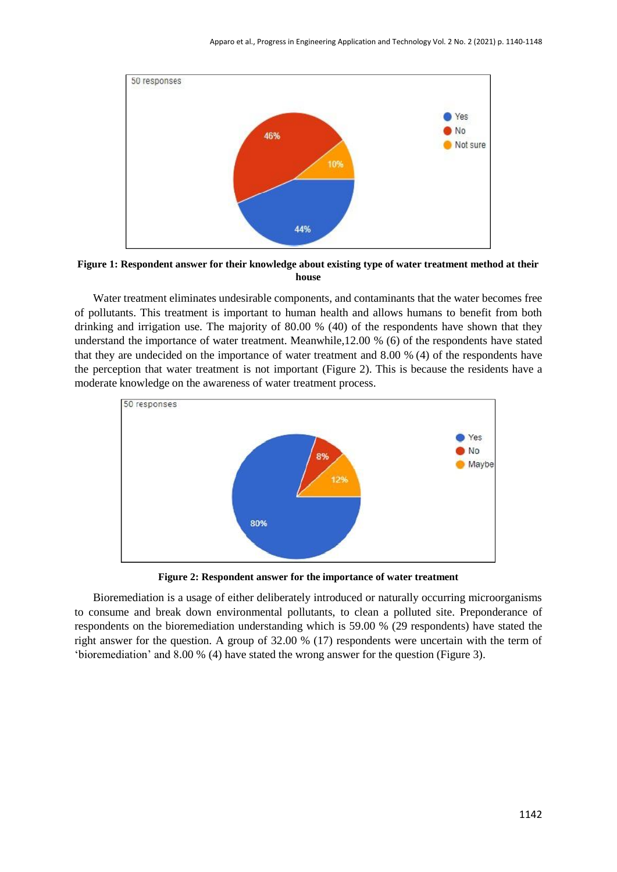

**Figure 1: Respondent answer for their knowledge about existing type of water treatment method at their house**

Water treatment eliminates undesirable components, and contaminants that the water becomes free of pollutants. This treatment is important to human health and allows humans to benefit from both drinking and irrigation use. The majority of 80.00 % (40) of the respondents have shown that they understand the importance of water treatment. Meanwhile,12.00 % (6) of the respondents have stated that they are undecided on the importance of water treatment and 8.00 % (4) of the respondents have the perception that water treatment is not important (Figure 2). This is because the residents have a moderate knowledge on the awareness of water treatment process.



**Figure 2: Respondent answer for the importance of water treatment**

Bioremediation is a usage of either deliberately introduced or naturally occurring microorganisms to consume and break down environmental pollutants, to clean a polluted site. Preponderance of respondents on the bioremediation understanding which is 59.00 % (29 respondents) have stated the right answer for the question. A group of 32.00 % (17) respondents were uncertain with the term of 'bioremediation' and 8.00 % (4) have stated the wrong answer for the question (Figure 3).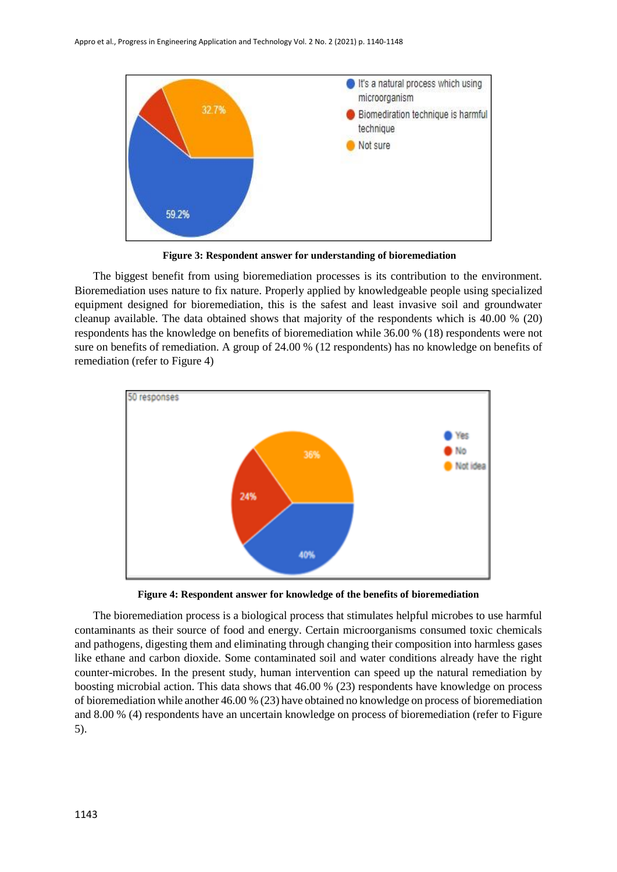

**Figure 3: Respondent answer for understanding of bioremediation**

The biggest benefit from using bioremediation processes is its contribution to the environment. Bioremediation uses nature to fix nature. Properly applied by knowledgeable people using specialized equipment designed for bioremediation, this is the safest and least invasive soil and groundwater cleanup available. The data obtained shows that majority of the respondents which is 40.00 % (20) respondents has the knowledge on benefits of bioremediation while 36.00 % (18) respondents were not sure on benefits of remediation. A group of 24.00 % (12 respondents) has no knowledge on benefits of remediation (refer to Figure 4)



**Figure 4: Respondent answer for knowledge of the benefits of bioremediation**

The bioremediation process is a biological process that stimulates helpful microbes to use harmful contaminants as their source of food and energy. Certain microorganisms consumed toxic chemicals and pathogens, digesting them and eliminating through changing their composition into harmless gases like ethane and carbon dioxide. Some contaminated soil and water conditions already have the right counter-microbes. In the present study, human intervention can speed up the natural remediation by boosting microbial action. This data shows that 46.00 % (23) respondents have knowledge on process of bioremediation while another 46.00 % (23) have obtained no knowledge on process of bioremediation and 8.00 % (4) respondents have an uncertain knowledge on process of bioremediation (refer to Figure 5).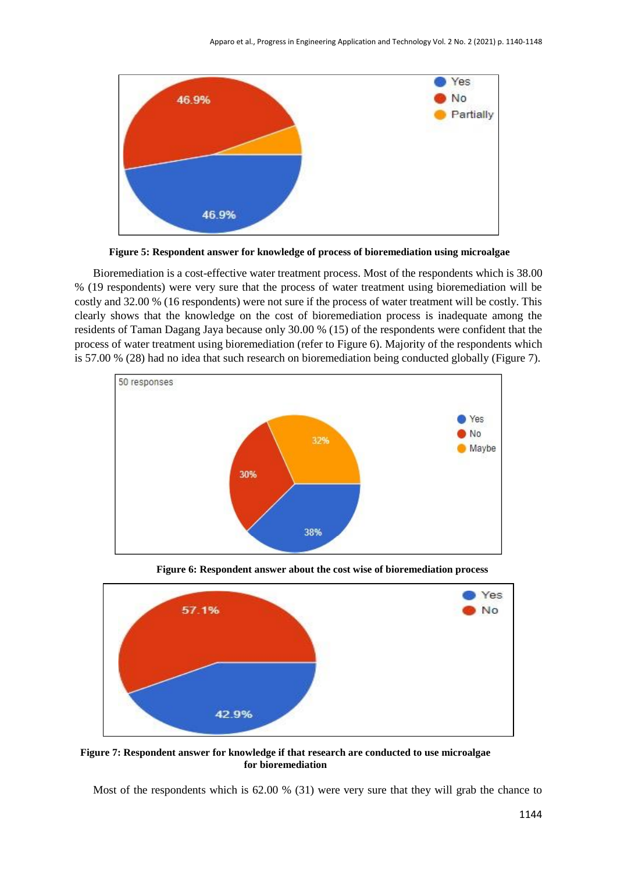

**Figure 5: Respondent answer for knowledge of process of bioremediation using microalgae**

Bioremediation is a cost-effective water treatment process. Most of the respondents which is 38.00 % (19 respondents) were very sure that the process of water treatment using bioremediation will be costly and 32.00 % (16 respondents) were not sure if the process of water treatment will be costly. This clearly shows that the knowledge on the cost of bioremediation process is inadequate among the residents of Taman Dagang Jaya because only 30.00 % (15) of the respondents were confident that the process of water treatment using bioremediation (refer to Figure 6). Majority of the respondents which is 57.00 % (28) had no idea that such research on bioremediation being conducted globally (Figure 7).



**Figure 6: Respondent answer about the cost wise of bioremediation process**



**Figure 7: Respondent answer for knowledge if that research are conducted to use microalgae for bioremediation**

Most of the respondents which is 62.00 % (31) were very sure that they will grab the chance to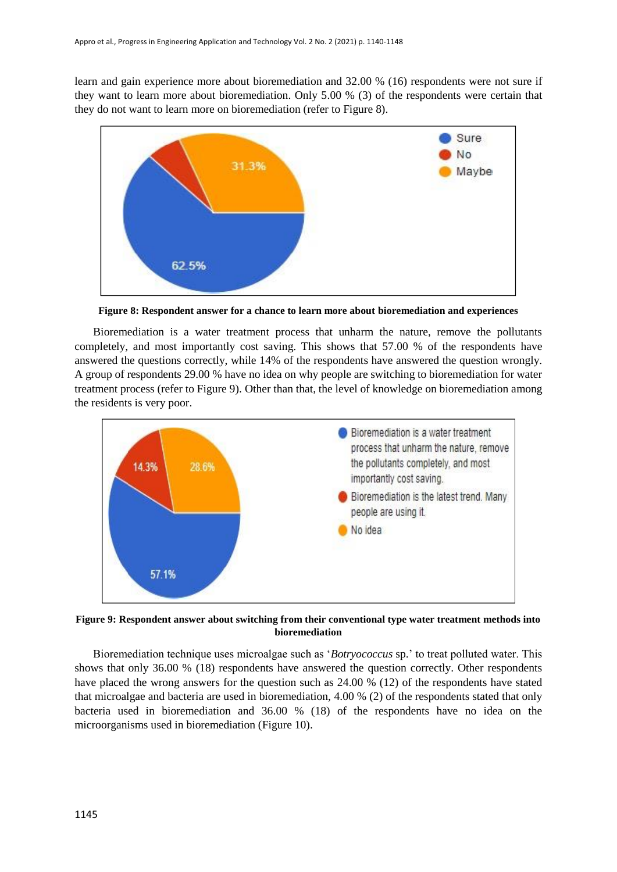learn and gain experience more about bioremediation and 32.00 % (16) respondents were not sure if they want to learn more about bioremediation. Only 5.00 % (3) of the respondents were certain that they do not want to learn more on bioremediation (refer to Figure 8).



**Figure 8: Respondent answer for a chance to learn more about bioremediation and experiences**

Bioremediation is a water treatment process that unharm the nature, remove the pollutants completely, and most importantly cost saving. This shows that 57.00 % of the respondents have answered the questions correctly, while 14% of the respondents have answered the question wrongly. A group of respondents 29.00 % have no idea on why people are switching to bioremediation for water treatment process (refer to Figure 9). Other than that, the level of knowledge on bioremediation among the residents is very poor.



**Figure 9: Respondent answer about switching from their conventional type water treatment methods into bioremediation**

Bioremediation technique uses microalgae such as '*Botryococcus* sp.' to treat polluted water. This shows that only 36.00 % (18) respondents have answered the question correctly. Other respondents have placed the wrong answers for the question such as 24.00 % (12) of the respondents have stated that microalgae and bacteria are used in bioremediation, 4.00 % (2) of the respondents stated that only bacteria used in bioremediation and 36.00 % (18) of the respondents have no idea on the microorganisms used in bioremediation (Figure 10).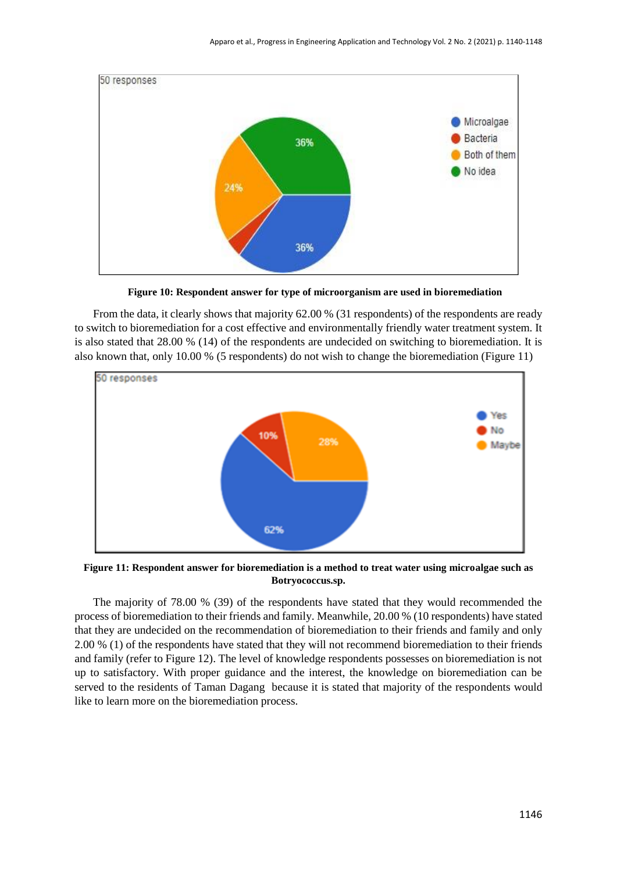

 **Figure 10: Respondent answer for type of microorganism are used in bioremediation**

From the data, it clearly shows that majority 62.00 % (31 respondents) of the respondents are ready to switch to bioremediation for a cost effective and environmentally friendly water treatment system. It is also stated that 28.00 % (14) of the respondents are undecided on switching to bioremediation. It is also known that, only 10.00 % (5 respondents) do not wish to change the bioremediation (Figure 11)



**Figure 11: Respondent answer for bioremediation is a method to treat water using microalgae such as Botryococcus.sp.**

The majority of 78.00 % (39) of the respondents have stated that they would recommended the process of bioremediation to their friends and family. Meanwhile, 20.00 % (10 respondents) have stated that they are undecided on the recommendation of bioremediation to their friends and family and only 2.00 % (1) of the respondents have stated that they will not recommend bioremediation to their friends and family (refer to Figure 12). The level of knowledge respondents possesses on bioremediation is not up to satisfactory. With proper guidance and the interest, the knowledge on bioremediation can be served to the residents of Taman Dagang because it is stated that majority of the respondents would like to learn more on the bioremediation process.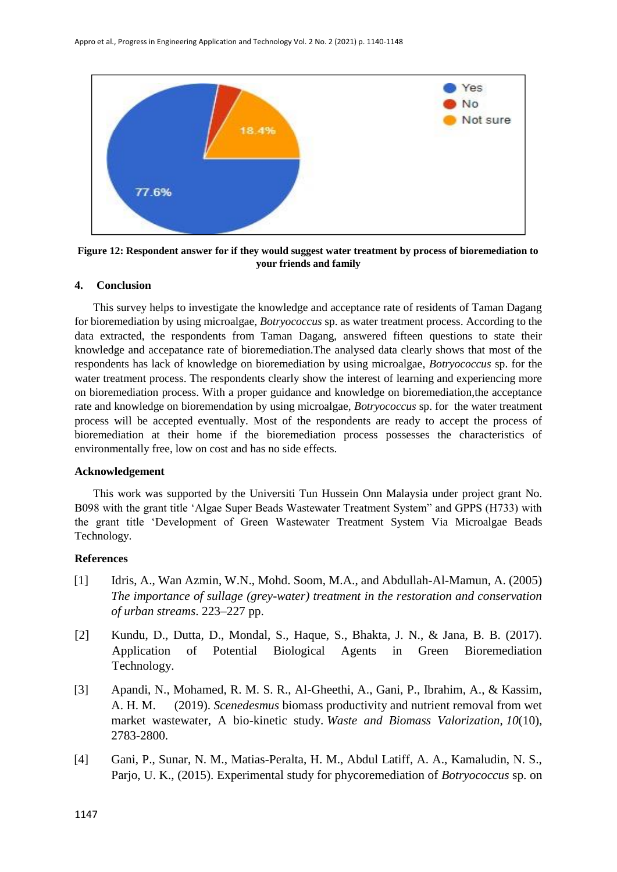

**Figure 12: Respondent answer for if they would suggest water treatment by process of bioremediation to your friends and family**

#### **4. Conclusion**

This survey helps to investigate the knowledge and acceptance rate of residents of Taman Dagang for bioremediation by using microalgae, *Botryococcus* sp. as water treatment process. According to the data extracted, the respondents from Taman Dagang, answered fifteen questions to state their knowledge and accepatance rate of bioremediation.The analysed data clearly shows that most of the respondents has lack of knowledge on bioremediation by using microalgae, *Botryococcus* sp. for the water treatment process. The respondents clearly show the interest of learning and experiencing more on bioremediation process. With a proper guidance and knowledge on bioremediation,the acceptance rate and knowledge on bioremendation by using microalgae, *Botryococcus* sp. for the water treatment process will be accepted eventually. Most of the respondents are ready to accept the process of bioremediation at their home if the bioremediation process possesses the characteristics of environmentally free, low on cost and has no side effects.

### **Acknowledgement**

This work was supported by the Universiti Tun Hussein Onn Malaysia under project grant No. B098 with the grant title 'Algae Super Beads Wastewater Treatment System" and GPPS (H733) with the grant title 'Development of Green Wastewater Treatment System Via Microalgae Beads Technology.

#### **References**

- [1] Idris, A., Wan Azmin, W.N., Mohd. Soom, M.A., and Abdullah-Al-Mamun, A. (2005) *The importance of sullage (grey-water) treatment in the restoration and conservation of urban streams*. 223–227 pp.
- [2] Kundu, D., Dutta, D., Mondal, S., Haque, S., Bhakta, J. N., & Jana, B. B. (2017). Application of Potential Biological Agents in Green Bioremediation Technology.
- [3] Apandi, N., Mohamed, R. M. S. R., Al-Gheethi, A., Gani, P., Ibrahim, A., & Kassim, A. H. M. (2019). *Scenedesmus* biomass productivity and nutrient removal from wet market wastewater, A bio-kinetic study. *Waste and Biomass Valorization*, *10*(10), 2783-2800.
- [4] Gani, P., Sunar, N. M., Matias-Peralta, H. M., Abdul Latiff, A. A., Kamaludin, N. S., Parjo, U. K., (2015). Experimental study for phycoremediation of *Botryococcus* sp. on